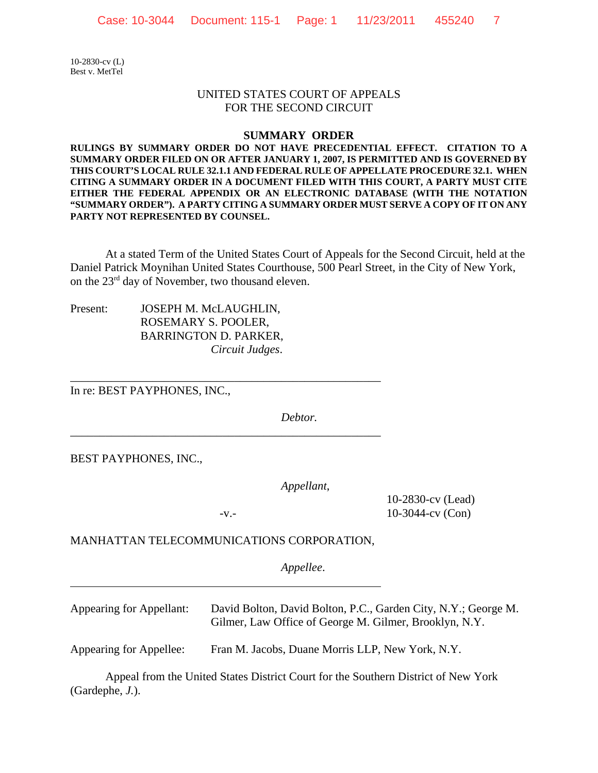10-2830-cv (L) Best v. MetTel

## UNITED STATES COURT OF APPEALS FOR THE SECOND CIRCUIT

## **SUMMARY ORDER**

**RULINGS BY SUMMARY ORDER DO NOT HAVE PRECEDENTIAL EFFECT. CITATION TO A SUMMARY ORDER FILED ON OR AFTER JANUARY 1, 2007, IS PERMITTED AND IS GOVERNED BY THIS COURT'S LOCAL RULE 32.1.1 AND FEDERAL RULE OF APPELLATE PROCEDURE 32.1. WHEN CITING A SUMMARY ORDER IN A DOCUMENT FILED WITH THIS COURT, A PARTY MUST CITE EITHER THE FEDERAL APPENDIX OR AN ELECTRONIC DATABASE (WITH THE NOTATION "SUMMARY ORDER"). A PARTY CITING A SUMMARY ORDER MUST SERVE A COPY OF IT ON ANY PARTY NOT REPRESENTED BY COUNSEL.** 

At a stated Term of the United States Court of Appeals for the Second Circuit, held at the Daniel Patrick Moynihan United States Courthouse, 500 Pearl Street, in the City of New York, on the 23rd day of November, two thousand eleven.

Present: JOSEPH M. McLAUGHLIN, ROSEMARY S. POOLER, BARRINGTON D. PARKER, *Circuit Judges*.

In re: BEST PAYPHONES, INC.,

*Debtor.*

BEST PAYPHONES, INC.,

l

*Appellant*,

\_\_\_\_\_\_\_\_\_\_\_\_\_\_\_\_\_\_\_\_\_\_\_\_\_\_\_\_\_\_\_\_\_\_\_\_\_\_\_\_\_\_\_\_\_\_\_\_\_\_\_\_\_

\_\_\_\_\_\_\_\_\_\_\_\_\_\_\_\_\_\_\_\_\_\_\_\_\_\_\_\_\_\_\_\_\_\_\_\_\_\_\_\_\_\_\_\_\_\_\_\_\_\_\_\_\_

10-2830-cv (Lead) -v.- 10-3044-cv (Con)

MANHATTAN TELECOMMUNICATIONS CORPORATION,

*Appellee*.

Appearing for Appellant: David Bolton, David Bolton, P.C., Garden City, N.Y.; George M. Gilmer, Law Office of George M. Gilmer, Brooklyn, N.Y.

Appearing for Appellee: Fran M. Jacobs, Duane Morris LLP, New York, N.Y.

Appeal from the United States District Court for the Southern District of New York (Gardephe, *J.*).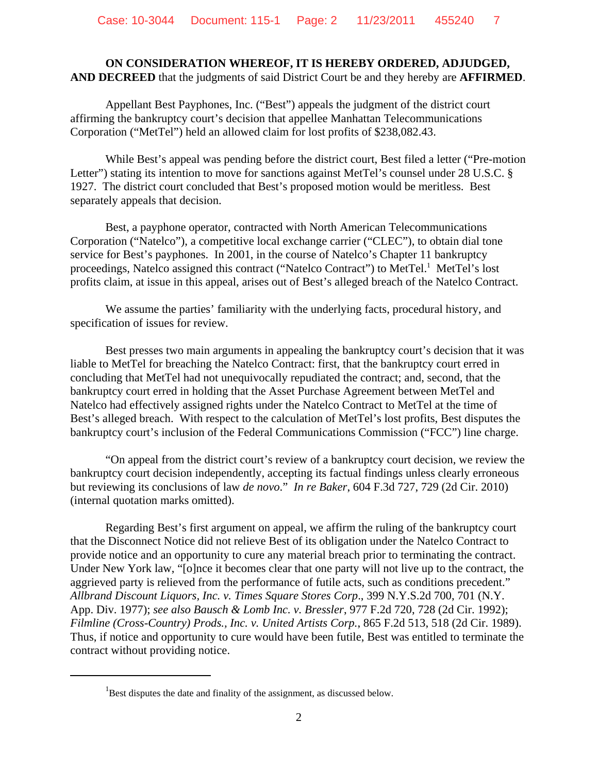## **ON CONSIDERATION WHEREOF, IT IS HEREBY ORDERED, ADJUDGED, AND DECREED** that the judgments of said District Court be and they hereby are **AFFIRMED**.

Appellant Best Payphones, Inc. ("Best") appeals the judgment of the district court affirming the bankruptcy court's decision that appellee Manhattan Telecommunications Corporation ("MetTel") held an allowed claim for lost profits of \$238,082.43.

While Best's appeal was pending before the district court, Best filed a letter ("Pre-motion Letter") stating its intention to move for sanctions against MetTel's counsel under 28 U.S.C. § 1927. The district court concluded that Best's proposed motion would be meritless. Best separately appeals that decision.

Best, a payphone operator, contracted with North American Telecommunications Corporation ("Natelco"), a competitive local exchange carrier ("CLEC"), to obtain dial tone service for Best's payphones. In 2001, in the course of Natelco's Chapter 11 bankruptcy proceedings, Natelco assigned this contract ("Natelco Contract") to MetTel.<sup>1</sup> MetTel's lost profits claim, at issue in this appeal, arises out of Best's alleged breach of the Natelco Contract.

We assume the parties' familiarity with the underlying facts, procedural history, and specification of issues for review.

Best presses two main arguments in appealing the bankruptcy court's decision that it was liable to MetTel for breaching the Natelco Contract: first, that the bankruptcy court erred in concluding that MetTel had not unequivocally repudiated the contract; and, second, that the bankruptcy court erred in holding that the Asset Purchase Agreement between MetTel and Natelco had effectively assigned rights under the Natelco Contract to MetTel at the time of Best's alleged breach. With respect to the calculation of MetTel's lost profits, Best disputes the bankruptcy court's inclusion of the Federal Communications Commission ("FCC") line charge.

"On appeal from the district court's review of a bankruptcy court decision, we review the bankruptcy court decision independently, accepting its factual findings unless clearly erroneous but reviewing its conclusions of law *de novo*." *In re Baker*, 604 F.3d 727, 729 (2d Cir. 2010) (internal quotation marks omitted).

Regarding Best's first argument on appeal, we affirm the ruling of the bankruptcy court that the Disconnect Notice did not relieve Best of its obligation under the Natelco Contract to provide notice and an opportunity to cure any material breach prior to terminating the contract. Under New York law, "[o]nce it becomes clear that one party will not live up to the contract, the aggrieved party is relieved from the performance of futile acts, such as conditions precedent." *Allbrand Discount Liquors, Inc. v. Times Square Stores Corp*., 399 N.Y.S.2d 700, 701 (N.Y. App. Div. 1977); *see also Bausch & Lomb Inc. v. Bressler*, 977 F.2d 720, 728 (2d Cir. 1992); *Filmline (Cross-Country) Prods., Inc. v. United Artists Corp.*, 865 F.2d 513, 518 (2d Cir. 1989). Thus, if notice and opportunity to cure would have been futile, Best was entitled to terminate the contract without providing notice.

 ${}^{1}$ Best disputes the date and finality of the assignment, as discussed below.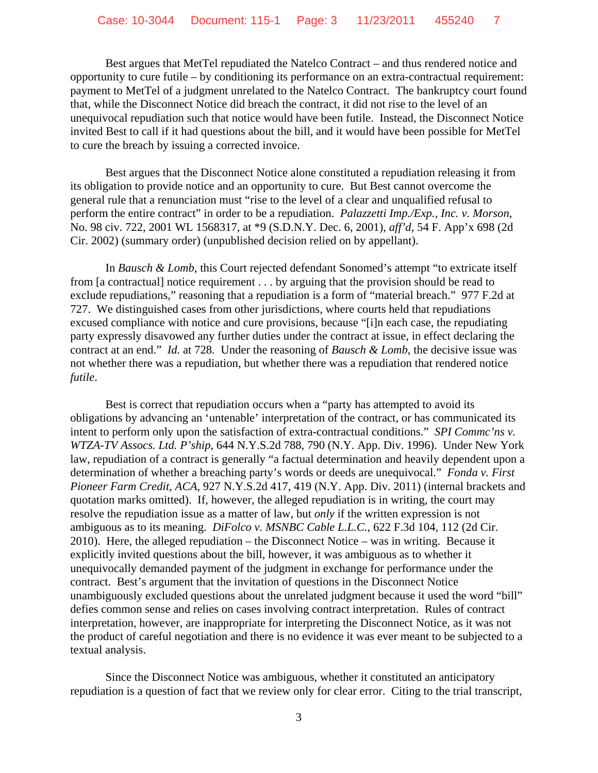Best argues that MetTel repudiated the Natelco Contract – and thus rendered notice and opportunity to cure futile – by conditioning its performance on an extra-contractual requirement: payment to MetTel of a judgment unrelated to the Natelco Contract. The bankruptcy court found that, while the Disconnect Notice did breach the contract, it did not rise to the level of an unequivocal repudiation such that notice would have been futile. Instead, the Disconnect Notice invited Best to call if it had questions about the bill, and it would have been possible for MetTel to cure the breach by issuing a corrected invoice.

Best argues that the Disconnect Notice alone constituted a repudiation releasing it from its obligation to provide notice and an opportunity to cure. But Best cannot overcome the general rule that a renunciation must "rise to the level of a clear and unqualified refusal to perform the entire contract" in order to be a repudiation. *Palazzetti Imp./Exp., Inc. v. Morson*, No. 98 civ. 722, 2001 WL 1568317, at \*9 (S.D.N.Y. Dec. 6, 2001), *aff'd*, 54 F. App'x 698 (2d Cir. 2002) (summary order) (unpublished decision relied on by appellant).

In *Bausch & Lomb*, this Court rejected defendant Sonomed's attempt "to extricate itself from [a contractual] notice requirement . . . by arguing that the provision should be read to exclude repudiations," reasoning that a repudiation is a form of "material breach." 977 F.2d at 727. We distinguished cases from other jurisdictions, where courts held that repudiations excused compliance with notice and cure provisions, because "[i]n each case, the repudiating party expressly disavowed any further duties under the contract at issue, in effect declaring the contract at an end." *Id.* at 728*.* Under the reasoning of *Bausch & Lomb*, the decisive issue was not whether there was a repudiation, but whether there was a repudiation that rendered notice *futile*.

Best is correct that repudiation occurs when a "party has attempted to avoid its obligations by advancing an 'untenable' interpretation of the contract, or has communicated its intent to perform only upon the satisfaction of extra-contractual conditions." *SPI Commc'ns v. WTZA-TV Assocs. Ltd. P'ship*, 644 N.Y.S.2d 788, 790 (N.Y. App. Div. 1996). Under New York law, repudiation of a contract is generally "a factual determination and heavily dependent upon a determination of whether a breaching party's words or deeds are unequivocal." *Fonda v. First Pioneer Farm Credit, ACA*, 927 N.Y.S.2d 417, 419 (N.Y. App. Div. 2011) (internal brackets and quotation marks omitted). If, however, the alleged repudiation is in writing, the court may resolve the repudiation issue as a matter of law, but *only* if the written expression is not ambiguous as to its meaning. *DiFolco v. MSNBC Cable L.L.C.*, 622 F.3d 104, 112 (2d Cir. 2010). Here, the alleged repudiation – the Disconnect Notice – was in writing. Because it explicitly invited questions about the bill, however, it was ambiguous as to whether it unequivocally demanded payment of the judgment in exchange for performance under the contract. Best's argument that the invitation of questions in the Disconnect Notice unambiguously excluded questions about the unrelated judgment because it used the word "bill" defies common sense and relies on cases involving contract interpretation. Rules of contract interpretation, however, are inappropriate for interpreting the Disconnect Notice, as it was not the product of careful negotiation and there is no evidence it was ever meant to be subjected to a textual analysis.

Since the Disconnect Notice was ambiguous, whether it constituted an anticipatory repudiation is a question of fact that we review only for clear error. Citing to the trial transcript,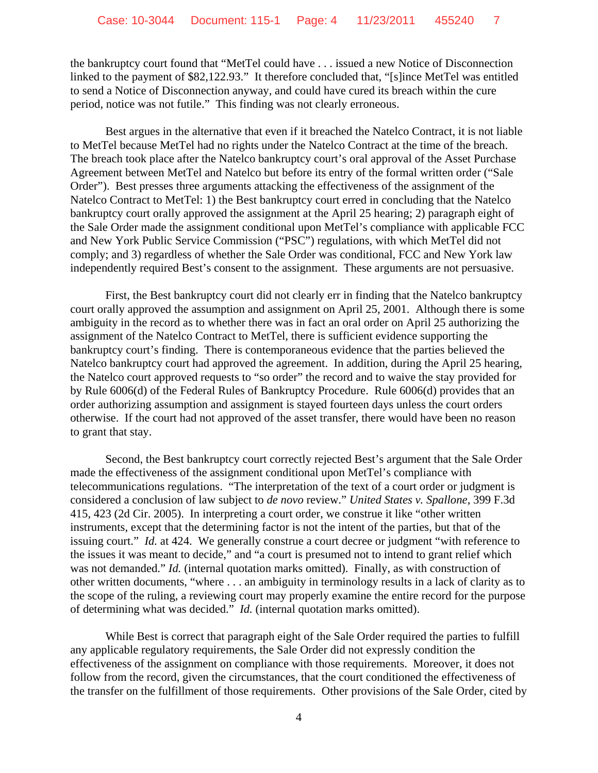the bankruptcy court found that "MetTel could have . . . issued a new Notice of Disconnection linked to the payment of \$82,122.93." It therefore concluded that, "[s]ince MetTel was entitled to send a Notice of Disconnection anyway, and could have cured its breach within the cure period, notice was not futile." This finding was not clearly erroneous.

Best argues in the alternative that even if it breached the Natelco Contract, it is not liable to MetTel because MetTel had no rights under the Natelco Contract at the time of the breach. The breach took place after the Natelco bankruptcy court's oral approval of the Asset Purchase Agreement between MetTel and Natelco but before its entry of the formal written order ("Sale Order"). Best presses three arguments attacking the effectiveness of the assignment of the Natelco Contract to MetTel: 1) the Best bankruptcy court erred in concluding that the Natelco bankruptcy court orally approved the assignment at the April 25 hearing; 2) paragraph eight of the Sale Order made the assignment conditional upon MetTel's compliance with applicable FCC and New York Public Service Commission ("PSC") regulations, with which MetTel did not comply; and 3) regardless of whether the Sale Order was conditional, FCC and New York law independently required Best's consent to the assignment. These arguments are not persuasive.

First, the Best bankruptcy court did not clearly err in finding that the Natelco bankruptcy court orally approved the assumption and assignment on April 25, 2001. Although there is some ambiguity in the record as to whether there was in fact an oral order on April 25 authorizing the assignment of the Natelco Contract to MetTel, there is sufficient evidence supporting the bankruptcy court's finding. There is contemporaneous evidence that the parties believed the Natelco bankruptcy court had approved the agreement. In addition, during the April 25 hearing, the Natelco court approved requests to "so order" the record and to waive the stay provided for by Rule 6006(d) of the Federal Rules of Bankruptcy Procedure. Rule 6006(d) provides that an order authorizing assumption and assignment is stayed fourteen days unless the court orders otherwise. If the court had not approved of the asset transfer, there would have been no reason to grant that stay.

Second, the Best bankruptcy court correctly rejected Best's argument that the Sale Order made the effectiveness of the assignment conditional upon MetTel's compliance with telecommunications regulations. "The interpretation of the text of a court order or judgment is considered a conclusion of law subject to *de novo* review." *United States v. Spallone*, 399 F.3d 415, 423 (2d Cir. 2005). In interpreting a court order, we construe it like "other written instruments, except that the determining factor is not the intent of the parties, but that of the issuing court." *Id.* at 424. We generally construe a court decree or judgment "with reference to the issues it was meant to decide," and "a court is presumed not to intend to grant relief which was not demanded." *Id.* (internal quotation marks omitted). Finally, as with construction of other written documents, "where . . . an ambiguity in terminology results in a lack of clarity as to the scope of the ruling, a reviewing court may properly examine the entire record for the purpose of determining what was decided." *Id.* (internal quotation marks omitted).

While Best is correct that paragraph eight of the Sale Order required the parties to fulfill any applicable regulatory requirements, the Sale Order did not expressly condition the effectiveness of the assignment on compliance with those requirements. Moreover, it does not follow from the record, given the circumstances, that the court conditioned the effectiveness of the transfer on the fulfillment of those requirements. Other provisions of the Sale Order, cited by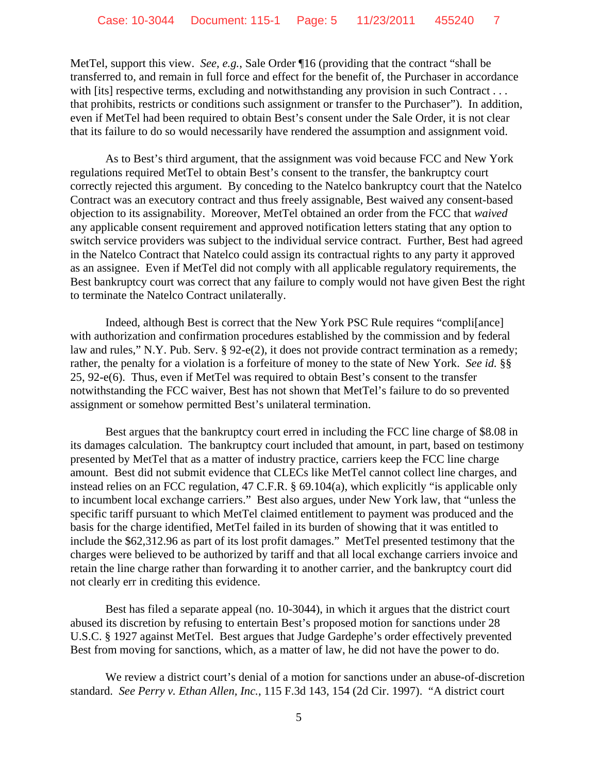MetTel, support this view. *See, e.g.*, Sale Order ¶16 (providing that the contract "shall be transferred to, and remain in full force and effect for the benefit of, the Purchaser in accordance with [its] respective terms, excluding and notwithstanding any provision in such Contract . . . that prohibits, restricts or conditions such assignment or transfer to the Purchaser"). In addition, even if MetTel had been required to obtain Best's consent under the Sale Order, it is not clear that its failure to do so would necessarily have rendered the assumption and assignment void.

As to Best's third argument, that the assignment was void because FCC and New York regulations required MetTel to obtain Best's consent to the transfer, the bankruptcy court correctly rejected this argument. By conceding to the Natelco bankruptcy court that the Natelco Contract was an executory contract and thus freely assignable, Best waived any consent-based objection to its assignability. Moreover, MetTel obtained an order from the FCC that *waived* any applicable consent requirement and approved notification letters stating that any option to switch service providers was subject to the individual service contract. Further, Best had agreed in the Natelco Contract that Natelco could assign its contractual rights to any party it approved as an assignee. Even if MetTel did not comply with all applicable regulatory requirements, the Best bankruptcy court was correct that any failure to comply would not have given Best the right to terminate the Natelco Contract unilaterally.

Indeed, although Best is correct that the New York PSC Rule requires "compli[ance] with authorization and confirmation procedures established by the commission and by federal law and rules," N.Y. Pub. Serv. § 92-e(2), it does not provide contract termination as a remedy; rather, the penalty for a violation is a forfeiture of money to the state of New York. *See id.* §§ 25, 92-e(6). Thus, even if MetTel was required to obtain Best's consent to the transfer notwithstanding the FCC waiver, Best has not shown that MetTel's failure to do so prevented assignment or somehow permitted Best's unilateral termination.

Best argues that the bankruptcy court erred in including the FCC line charge of \$8.08 in its damages calculation. The bankruptcy court included that amount, in part, based on testimony presented by MetTel that as a matter of industry practice, carriers keep the FCC line charge amount. Best did not submit evidence that CLECs like MetTel cannot collect line charges, and instead relies on an FCC regulation, 47 C.F.R. § 69.104(a), which explicitly "is applicable only to incumbent local exchange carriers." Best also argues, under New York law, that "unless the specific tariff pursuant to which MetTel claimed entitlement to payment was produced and the basis for the charge identified, MetTel failed in its burden of showing that it was entitled to include the \$62,312.96 as part of its lost profit damages." MetTel presented testimony that the charges were believed to be authorized by tariff and that all local exchange carriers invoice and retain the line charge rather than forwarding it to another carrier, and the bankruptcy court did not clearly err in crediting this evidence.

Best has filed a separate appeal (no. 10-3044), in which it argues that the district court abused its discretion by refusing to entertain Best's proposed motion for sanctions under 28 U.S.C. § 1927 against MetTel. Best argues that Judge Gardephe's order effectively prevented Best from moving for sanctions, which, as a matter of law, he did not have the power to do.

We review a district court's denial of a motion for sanctions under an abuse-of-discretion standard. *See Perry v. Ethan Allen, Inc.*, 115 F.3d 143, 154 (2d Cir. 1997). "A district court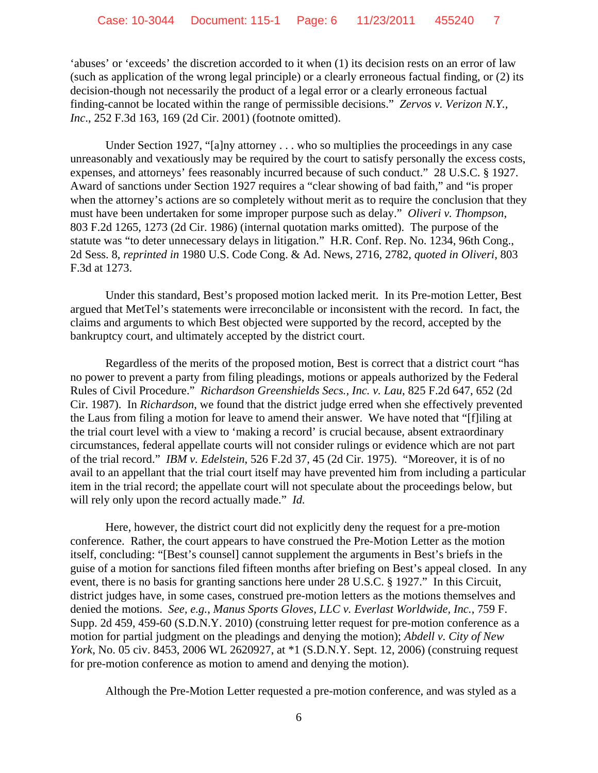'abuses' or 'exceeds' the discretion accorded to it when (1) its decision rests on an error of law (such as application of the wrong legal principle) or a clearly erroneous factual finding, or (2) its decision-though not necessarily the product of a legal error or a clearly erroneous factual finding-cannot be located within the range of permissible decisions." *Zervos v. Verizon N.Y., Inc*., 252 F.3d 163, 169 (2d Cir. 2001) (footnote omitted).

Under Section 1927, "[a]ny attorney . . . who so multiplies the proceedings in any case unreasonably and vexatiously may be required by the court to satisfy personally the excess costs, expenses, and attorneys' fees reasonably incurred because of such conduct." 28 U.S.C. § 1927. Award of sanctions under Section 1927 requires a "clear showing of bad faith," and "is proper when the attorney's actions are so completely without merit as to require the conclusion that they must have been undertaken for some improper purpose such as delay." *Oliveri v. Thompson*, 803 F.2d 1265, 1273 (2d Cir. 1986) (internal quotation marks omitted). The purpose of the statute was "to deter unnecessary delays in litigation." H.R. Conf. Rep. No. 1234, 96th Cong., 2d Sess. 8, *reprinted in* 1980 U.S. Code Cong. & Ad. News, 2716, 2782, *quoted in Oliveri*, 803 F.3d at 1273.

Under this standard, Best's proposed motion lacked merit. In its Pre-motion Letter, Best argued that MetTel's statements were irreconcilable or inconsistent with the record. In fact, the claims and arguments to which Best objected were supported by the record, accepted by the bankruptcy court, and ultimately accepted by the district court.

Regardless of the merits of the proposed motion, Best is correct that a district court "has no power to prevent a party from filing pleadings, motions or appeals authorized by the Federal Rules of Civil Procedure." *Richardson Greenshields Secs., Inc. v. Lau*, 825 F.2d 647, 652 (2d Cir. 1987). In *Richardson*, we found that the district judge erred when she effectively prevented the Laus from filing a motion for leave to amend their answer. We have noted that "[f]iling at the trial court level with a view to 'making a record' is crucial because, absent extraordinary circumstances, federal appellate courts will not consider rulings or evidence which are not part of the trial record." *IBM v. Edelstein*, 526 F.2d 37, 45 (2d Cir. 1975). "Moreover, it is of no avail to an appellant that the trial court itself may have prevented him from including a particular item in the trial record; the appellate court will not speculate about the proceedings below, but will rely only upon the record actually made." *Id.*

Here, however, the district court did not explicitly deny the request for a pre-motion conference. Rather, the court appears to have construed the Pre-Motion Letter as the motion itself, concluding: "[Best's counsel] cannot supplement the arguments in Best's briefs in the guise of a motion for sanctions filed fifteen months after briefing on Best's appeal closed. In any event, there is no basis for granting sanctions here under 28 U.S.C. § 1927." In this Circuit, district judges have, in some cases, construed pre-motion letters as the motions themselves and denied the motions. *See, e.g.*, *Manus Sports Gloves, LLC v. Everlast Worldwide, Inc.*, 759 F. Supp. 2d 459, 459-60 (S.D.N.Y. 2010) (construing letter request for pre-motion conference as a motion for partial judgment on the pleadings and denying the motion); *Abdell v. City of New York*, No. 05 civ. 8453, 2006 WL 2620927, at \*1 (S.D.N.Y. Sept. 12, 2006) (construing request for pre-motion conference as motion to amend and denying the motion).

Although the Pre-Motion Letter requested a pre-motion conference, and was styled as a